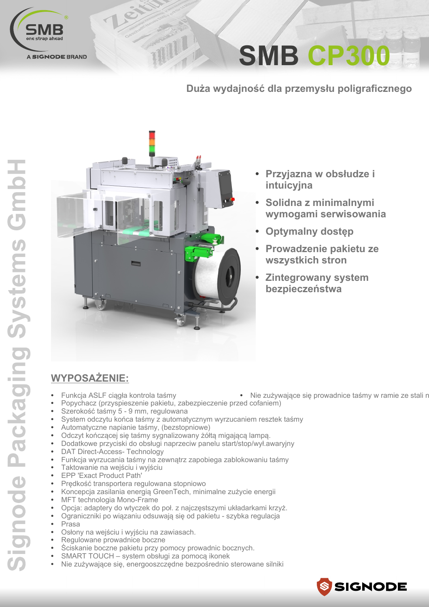

**SMB CP300** 

Duża wydajność dla przemysłu poligraficznego



TITTI

- Przyjazna w obsłudze i intuicvina
- Solidna z minimalnymi wymogami serwisowania
- **Optymalny dostep**
- Prowadzenie pakietu ze wszystkich stron
- **Zintegrowany system** bezpieczeństwa

## **WYPOSAŻENIE:**

- Funkcja ASLF ciągła kontrola taśmy
- Popychacz (przyspieszenie pakietu, zabezpieczenie przed cofaniem)
- Szerokość taśmy 5 9 mm, regulowana
- System odczytu końca taśmy z automatycznym wyrzucaniem resztek taśmy
- Automatyczne napianie taśmy, (bezstopniowe)
- Odczyt kończącej się taśmy sygnalizowany żółtą migającą lampą.
- Dodatkowe przyciski do obsługi naprzeciw panelu start/stop/wył.awaryjny
- DAT Direct-Access- Technology
- Funkcja wyrzucania taśmy na zewnątrz zapobiega zablokowaniu taśmy
- Taktowanie na wejściu i wyjściu
- EPP 'Exact Product Path'
- Prędkość transportera regulowana stopniowo
- Koncepcja zasilania energią GreenTech, minimalne zużycie energii
- MFT technologia Mono-Frame
- Opcja: adaptery do wtyczek do poł. z najczęstszymi układarkami krzyż.
- Ograniczniki po wiązaniu odsuwają się od pakietu szybka regulacja
- Prasa
- Osłony na wejściu i wyjściu na zawiasach.
- Regulowane prowadnice boczne
- Ściskanie boczne pakietu przy pomocy prowadnic bocznych.
- SMART TOUCH system obsługi za pomocą ikonek
- Nie zużywające się, energooszczędne bezpośrednio sterowane silniki
- SSIGNODE

· Nie zużywające się prowadnice taśmy w ramie ze stali n